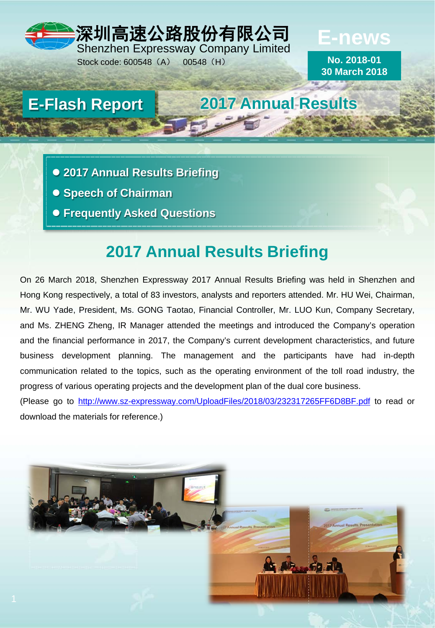### 深圳高速公路股份有限公司 Shenzhen Expressway Company Limited **E-news**

Stock code: 600548 (A) 00548 (H)

**No. 2018-01**

**30 March 2018**

# **E-Flash Report 2017 Annual Results**

- **2017 Annual Results Briefing**
- **Speech of Chairman**
- **Frequently Asked Questions**

## **2017 Annual Results Briefing**

On 26 March 2018, Shenzhen Expressway 2017 Annual Results Briefing was held in Shenzhen and Hong Kong respectively, a total of 83 investors, analysts and reporters attended. Mr. HU Wei, Chairman, Mr. WU Yade, President, Ms. GONG Taotao, Financial Controller, Mr. LUO Kun, Company Secretary, and Ms. ZHENG Zheng, IR Manager attended the meetings and introduced the Company's operation and the financial performance in 2017, the Company's current development characteristics, and future business development planning. The management and the participants have had in-depth communication related to the topics, such as the operating environment of the toll road industry, the progress of various operating projects and the development plan of the dual core business.

(Please go to <http://www.sz-expressway.com/UploadFiles/2018/03/232317265FF6D8BF.pdf> to read or download the materials for reference.)

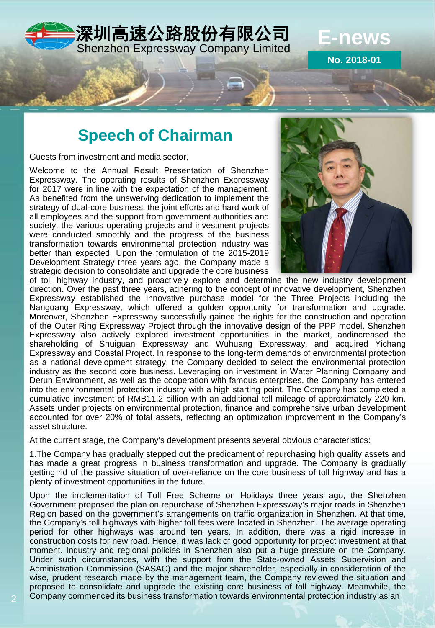

**Speech of Chairman**

Guests from investment and media sector,

Welcome to the Annual Result Presentation of Shenzhen Expressway. The operating results of Shenzhen Expressway for 2017 were in line with the expectation of the management. As benefited from the unswerving dedication to implement the strategy of dual-core business, the joint efforts and hard work of all employees and the support from government authorities and society, the various operating projects and investment projects were conducted smoothly and the progress of the business transformation towards environmental protection industry was better than expected. Upon the formulation of the 2015-2019 Development Strategy three years ago, the Company made a strategic decision to consolidate and upgrade the core business



**No. 2018-01**

of toll highway industry, and proactively explore and determine the new industry development direction. Over the past three years, adhering to the concept of innovative development, Shenzhen Expressway established the innovative purchase model for the Three Projects including the Nanguang Expressway, which offered a golden opportunity for transformation and upgrade. Moreover, Shenzhen Expressway successfully gained the rights for the construction and operation of the Outer Ring Expressway Project through the innovative design of the PPP model. Shenzhen Expressway also actively explored investment opportunities in the market, andincreased the shareholding of Shuiguan Expressway and Wuhuang Expressway, and acquired Yichang Expressway and Coastal Project. In response to the long-term demands of environmental protection as a national development strategy, the Company decided to select the environmental protection industry as the second core business. Leveraging on investment in Water Planning Company and Derun Environment, as well as the cooperation with famous enterprises, the Company has entered into the environmental protection industry with a high starting point. The Company has completed a cumulative investment of RMB11.2 billion with an additional toll mileage of approximately 220 km. Assets under projects on environmental protection, finance and comprehensive urban development accounted for over 20% of total assets, reflecting an optimization improvement in the Company's asset structure.

At the current stage, the Company's development presents several obvious characteristics:

1.The Company has gradually stepped out the predicament of repurchasing high quality assets and has made a great progress in business transformation and upgrade. The Company is gradually getting rid of the passive situation of over-reliance on the core business of toll highway and has a plenty of investment opportunities in the future.

Upon the implementation of Toll Free Scheme on Holidays three years ago, the Shenzhen Government proposed the plan on repurchase of Shenzhen Expressway's major roads in Shenzhen Region based on the government's arrangements on traffic organization in Shenzhen. At that time, the Company's toll highways with higher toll fees were located in Shenzhen. The average operating period for other highways was around ten years. In addition, there was a rigid increase in construction costs for new road. Hence, it was lack of good opportunity for project investment at that moment. Industry and regional policies in Shenzhen also put a huge pressure on the Company. Under such circumstances, with the support from the State-owned Assets Supervision and Administration Commission (SASAC) and the major shareholder, especially in consideration of the wise, prudent research made by the management team, the Company reviewed the situation and proposed to consolidate and upgrade the existing core business of toll highway. Meanwhile, the Company commenced its business transformation towards environmental protection industry as an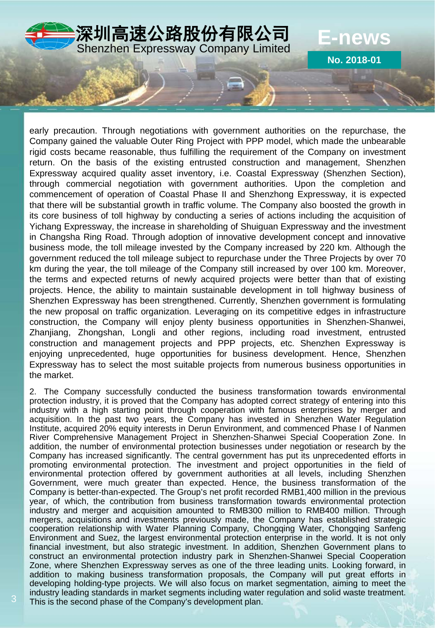

early precaution. Through negotiations with government authorities on the repurchase, the Company gained the valuable Outer Ring Project with PPP model, which made the unbearable rigid costs became reasonable, thus fulfilling the requirement of the Company on investment return. On the basis of the existing entrusted construction and management, Shenzhen Expressway acquired quality asset inventory, i.e. Coastal Expressway (Shenzhen Section), through commercial negotiation with government authorities. Upon the completion and commencement of operation of Coastal Phase II and Shenzhong Expressway, it is expected that there will be substantial growth in traffic volume. The Company also boosted the growth in its core business of toll highway by conducting a series of actions including the acquisition of Yichang Expressway, the increase in shareholding of Shuiguan Expressway and the investment in Changsha Ring Road. Through adoption of innovative development concept and innovative business mode, the toll mileage invested by the Company increased by 220 km. Although the government reduced the toll mileage subject to repurchase under the Three Projects by over 70 km during the year, the toll mileage of the Company still increased by over 100 km. Moreover, the terms and expected returns of newly acquired projects were better than that of existing projects. Hence, the ability to maintain sustainable development in toll highway business of Shenzhen Expressway has been strengthened. Currently, Shenzhen government is formulating the new proposal on traffic organization. Leveraging on its competitive edges in infrastructure construction, the Company will enjoy plenty business opportunities in Shenzhen-Shanwei, Zhanjiang, Zhongshan, Longli and other regions, including road investment, entrusted construction and management projects and PPP projects, etc. Shenzhen Expressway is enjoying unprecedented, huge opportunities for business development. Hence, Shenzhen Expressway has to select the most suitable projects from numerous business opportunities in the market.

2. The Company successfully conducted the business transformation towards environmental protection industry, it is proved that the Company has adopted correct strategy of entering into this industry with a high starting point through cooperation with famous enterprises by merger and acquisition. In the past two years, the Company has invested in Shenzhen Water Regulation Institute, acquired 20% equity interests in Derun Environment, and commenced Phase I of Nanmen River Comprehensive Management Project in Shenzhen-Shanwei Special Cooperation Zone. In addition, the number of environmental protection businesses under negotiation or research by the Company has increased significantly. The central government has put its unprecedented efforts in promoting environmental protection. The investment and project opportunities in the field of environmental protection offered by government authorities at all levels, including Shenzhen Government, were much greater than expected. Hence, the business transformation of the Company is better-than-expected. The Group's net profit recorded RMB1,400 million in the previous year, of which, the contribution from business transformation towards environmental protection industry and merger and acquisition amounted to RMB300 million to RMB400 million. Through mergers, acquisitions and investments previously made, the Company has established strategic cooperation relationship with Water Planning Company, Chongqing Water, Chongqing Sanfeng Environment and Suez, the largest environmental protection enterprise in the world. It is not only financial investment, but also strategic investment. In addition, Shenzhen Government plans to construct an environmental protection industry park in Shenzhen-Shanwei Special Cooperation Zone, where Shenzhen Expressway serves as one of the three leading units. Looking forward, in addition to making business transformation proposals, the Company will put great efforts in developing holding-type projects. We will also focus on market segmentation, aiming to meet the industry leading standards in market segments including water regulation and solid waste treatment. This is the second phase of the Company's development plan.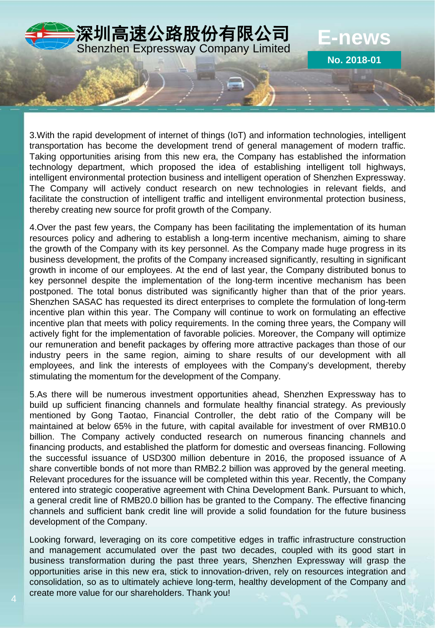

3.With the rapid development of internet of things (IoT) and information technologies, intelligent transportation has become the development trend of general management of modern traffic. Taking opportunities arising from this new era, the Company has established the information technology department, which proposed the idea of establishing intelligent toll highways, intelligent environmental protection business and intelligent operation of Shenzhen Expressway. The Company will actively conduct research on new technologies in relevant fields, and facilitate the construction of intelligent traffic and intelligent environmental protection business, thereby creating new source for profit growth of the Company.

4.Over the past few years, the Company has been facilitating the implementation of its human resources policy and adhering to establish a long-term incentive mechanism, aiming to share the growth of the Company with its key personnel. As the Company made huge progress in its business development, the profits of the Company increased significantly, resulting in significant growth in income of our employees. At the end of last year, the Company distributed bonus to key personnel despite the implementation of the long-term incentive mechanism has been postponed. The total bonus distributed was significantly higher than that of the prior years. Shenzhen SASAC has requested its direct enterprises to complete the formulation of long-term incentive plan within this year. The Company will continue to work on formulating an effective incentive plan that meets with policy requirements. In the coming three years, the Company will actively fight for the implementation of favorable policies. Moreover, the Company will optimize our remuneration and benefit packages by offering more attractive packages than those of our industry peers in the same region, aiming to share results of our development with all employees, and link the interests of employees with the Company's development, thereby stimulating the momentum for the development of the Company.

5.As there will be numerous investment opportunities ahead, Shenzhen Expressway has to build up sufficient financing channels and formulate healthy financial strategy. As previously mentioned by Gong Taotao, Financial Controller, the debt ratio of the Company will be maintained at below 65% in the future, with capital available for investment of over RMB10.0 billion. The Company actively conducted research on numerous financing channels and financing products, and established the platform for domestic and overseas financing. Following the successful issuance of USD300 million debenture in 2016, the proposed issuance of A share convertible bonds of not more than RMB2.2 billion was approved by the general meeting. Relevant procedures for the issuance will be completed within this year. Recently, the Company entered into strategic cooperative agreement with China Development Bank. Pursuant to which, a general credit line of RMB20.0 billion has be granted to the Company. The effective financing channels and sufficient bank credit line will provide a solid foundation for the future business development of the Company.

Looking forward, leveraging on its core competitive edges in traffic infrastructure construction and management accumulated over the past two decades, coupled with its good start in business transformation during the past three years, Shenzhen Expressway will grasp the opportunities arise in this new era, stick to innovation-driven, rely on resources integration and consolidation, so as to ultimately achieve long-term, healthy development of the Company and create more value for our shareholders. Thank you!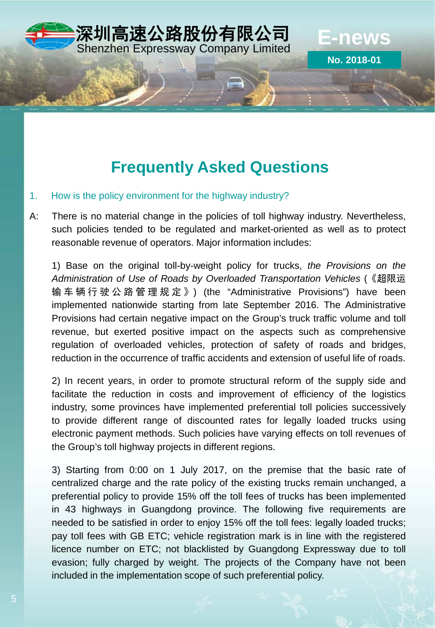

### **Frequently Asked Questions**

- 1. How is the policy environment for the highway industry?
- A: There is no material change in the policies of toll highway industry. Nevertheless, such policies tended to be regulated and market-oriented as well as to protect reasonable revenue of operators. Major information includes:

1) Base on the original toll-by-weight policy for trucks, *the Provisions on the Administration of Use of Roads by Overloaded Transportation Vehicles* (《超限运 输车辆行驶公路管理规定 》) (the "Administrative Provisions") have been implemented nationwide starting from late September 2016. The Administrative Provisions had certain negative impact on the Group's truck traffic volume and toll revenue, but exerted positive impact on the aspects such as comprehensive regulation of overloaded vehicles, protection of safety of roads and bridges, reduction in the occurrence of traffic accidents and extension of useful life of roads.

2) In recent years, in order to promote structural reform of the supply side and facilitate the reduction in costs and improvement of efficiency of the logistics industry, some provinces have implemented preferential toll policies successively to provide different range of discounted rates for legally loaded trucks using electronic payment methods. Such policies have varying effects on toll revenues of the Group's toll highway projects in different regions.

3) Starting from 0:00 on 1 July 2017, on the premise that the basic rate of centralized charge and the rate policy of the existing trucks remain unchanged, a preferential policy to provide 15% off the toll fees of trucks has been implemented in 43 highways in Guangdong province. The following five requirements are needed to be satisfied in order to enjoy 15% off the toll fees: legally loaded trucks; pay toll fees with GB ETC; vehicle registration mark is in line with the registered licence number on ETC; not blacklisted by Guangdong Expressway due to toll evasion; fully charged by weight. The projects of the Company have not been included in the implementation scope of such preferential policy.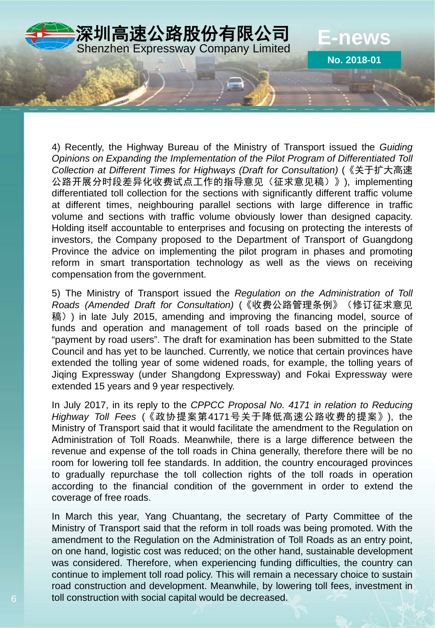

4) Recently, the Highway Bureau of the Ministry of Transport issued the *Guiding Opinions on Expanding the Implementation of the Pilot Program of Differentiated Toll Collection at Different Times for Highways (Draft for Consultation)* (《关于扩大高速 公路开展分时段差异化收费试点工作的指导意见(征求意见稿)》), implementing differentiated toll collection for the sections with significantly different traffic volume at different times, neighbouring parallel sections with large difference in traffic volume and sections with traffic volume obviously lower than designed capacity. Holding itself accountable to enterprises and focusing on protecting the interests of investors, the Company proposed to the Department of Transport of Guangdong Province the advice on implementing the pilot program in phases and promoting reform in smart transportation technology as well as the views on receiving compensation from the government.

5) The Ministry of Transport issued the *Regulation on the Administration of Toll Roads (Amended Draft for Consultation)* (《收费公路管理条例》(修订征求意见 稿)) in late July 2015, amending and improving the financing model, source of funds and operation and management of toll roads based on the principle of "payment by road users". The draft for examination has been submitted to the State Council and has yet to be launched. Currently, we notice that certain provinces have extended the tolling year of some widened roads, for example, the tolling years of Jiqing Expressway (under Shangdong Expressway) and Fokai Expressway were extended 15 years and 9 year respectively.

In July 2017, in its reply to the *CPPCC Proposal No. 4171 in relation to Reducing Highway Toll Fees* (《政协提案第4171号关于降低高速公路收费的提案》), the Ministry of Transport said that it would facilitate the amendment to the Regulation on Administration of Toll Roads. Meanwhile, there is a large difference between the revenue and expense of the toll roads in China generally, therefore there will be no room for lowering toll fee standards. In addition, the country encouraged provinces to gradually repurchase the toll collection rights of the toll roads in operation according to the financial condition of the government in order to extend the coverage of free roads.

In March this year, Yang Chuantang, the secretary of Party Committee of the Ministry of Transport said that the reform in toll roads was being promoted. With the amendment to the Regulation on the Administration of Toll Roads as an entry point, on one hand, logistic cost was reduced; on the other hand, sustainable development was considered. Therefore, when experiencing funding difficulties, the country can continue to implement toll road policy. This will remain a necessary choice to sustain road construction and development. Meanwhile, by lowering toll fees, investment in toll construction with social capital would be decreased.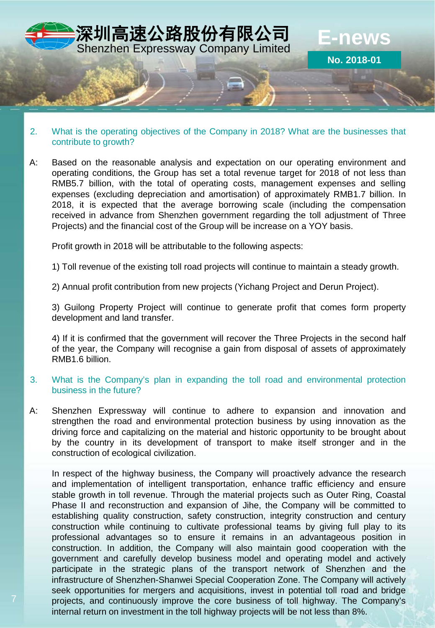

#### 2. What is the operating objectives of the Company in 2018? What are the businesses that contribute to growth?

A: Based on the reasonable analysis and expectation on our operating environment and operating conditions, the Group has set a total revenue target for 2018 of not less than RMB5.7 billion, with the total of operating costs, management expenses and selling expenses (excluding depreciation and amortisation) of approximately RMB1.7 billion. In 2018, it is expected that the average borrowing scale (including the compensation received in advance from Shenzhen government regarding the toll adjustment of Three Projects) and the financial cost of the Group will be increase on a YOY basis.

Profit growth in 2018 will be attributable to the following aspects:

1) Toll revenue of the existing toll road projects will continue to maintain a steady growth.

2) Annual profit contribution from new projects (Yichang Project and Derun Project).

3) Guilong Property Project will continue to generate profit that comes form property development and land transfer.

4) If it is confirmed that the government will recover the Three Projects in the second half of the year, the Company will recognise a gain from disposal of assets of approximately RMB1.6 billion.

#### 3. What is the Company's plan in expanding the toll road and environmental protection business in the future?

A: Shenzhen Expressway will continue to adhere to expansion and innovation and strengthen the road and environmental protection business by using innovation as the driving force and capitalizing on the material and historic opportunity to be brought about by the country in its development of transport to make itself stronger and in the construction of ecological civilization.

In respect of the highway business, the Company will proactively advance the research and implementation of intelligent transportation, enhance traffic efficiency and ensure stable growth in toll revenue. Through the material projects such as Outer Ring, Coastal Phase II and reconstruction and expansion of Jihe, the Company will be committed to establishing quality construction, safety construction, integrity construction and century construction while continuing to cultivate professional teams by giving full play to its professional advantages so to ensure it remains in an advantageous position in construction. In addition, the Company will also maintain good cooperation with the government and carefully develop business model and operating model and actively participate in the strategic plans of the transport network of Shenzhen and the infrastructure of Shenzhen-Shanwei Special Cooperation Zone. The Company will actively seek opportunities for mergers and acquisitions, invest in potential toll road and bridge projects, and continuously improve the core business of toll highway. The Company's internal return on investment in the toll highway projects will be not less than 8%.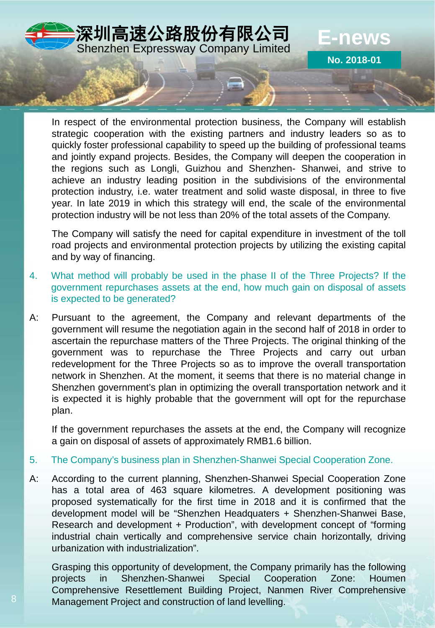

In respect of the environmental protection business, the Company will establish strategic cooperation with the existing partners and industry leaders so as to quickly foster professional capability to speed up the building of professional teams and jointly expand projects. Besides, the Company will deepen the cooperation in the regions such as Longli, Guizhou and Shenzhen- Shanwei, and strive to achieve an industry leading position in the subdivisions of the environmental protection industry, i.e. water treatment and solid waste disposal, in three to five year. In late 2019 in which this strategy will end, the scale of the environmental protection industry will be not less than 20% of the total assets of the Company.

The Company will satisfy the need for capital expenditure in investment of the toll road projects and environmental protection projects by utilizing the existing capital and by way of financing.

- 4. What method will probably be used in the phase II of the Three Projects? If the government repurchases assets at the end, how much gain on disposal of assets is expected to be generated?
- A: Pursuant to the agreement, the Company and relevant departments of the government will resume the negotiation again in the second half of 2018 in order to ascertain the repurchase matters of the Three Projects. The original thinking of the government was to repurchase the Three Projects and carry out urban redevelopment for the Three Projects so as to improve the overall transportation network in Shenzhen. At the moment, it seems that there is no material change in Shenzhen government's plan in optimizing the overall transportation network and it is expected it is highly probable that the government will opt for the repurchase plan.

If the government repurchases the assets at the end, the Company will recognize a gain on disposal of assets of approximately RMB1.6 billion.

- 5. The Company's business plan in Shenzhen-Shanwei Special Cooperation Zone.
- A: According to the current planning, Shenzhen-Shanwei Special Cooperation Zone has a total area of 463 square kilometres. A development positioning was proposed systematically for the first time in 2018 and it is confirmed that the development model will be "Shenzhen Headquaters + Shenzhen-Shanwei Base, Research and development + Production", with development concept of "forming industrial chain vertically and comprehensive service chain horizontally, driving urbanization with industrialization".

Grasping this opportunity of development, the Company primarily has the following projects in Shenzhen-Shanwei Special Cooperation Zone: Houmen Comprehensive Resettlement Building Project, Nanmen River Comprehensive Management Project and construction of land levelling.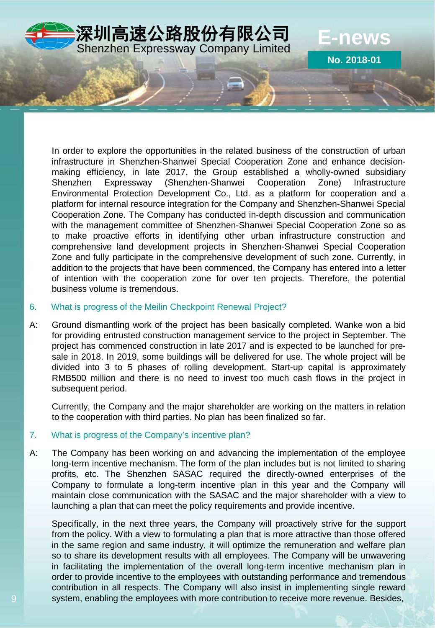

In order to explore the opportunities in the related business of the construction of urban infrastructure in Shenzhen-Shanwei Special Cooperation Zone and enhance decisionmaking efficiency, in late 2017, the Group established a wholly-owned subsidiary Shenzhen Expressway (Shenzhen-Shanwei Cooperation Zone) Infrastructure Environmental Protection Development Co., Ltd. as a platform for cooperation and a platform for internal resource integration for the Company and Shenzhen-Shanwei Special Cooperation Zone. The Company has conducted in-depth discussion and communication with the management committee of Shenzhen-Shanwei Special Cooperation Zone so as to make proactive efforts in identifying other urban infrastructure construction and comprehensive land development projects in Shenzhen-Shanwei Special Cooperation Zone and fully participate in the comprehensive development of such zone. Currently, in addition to the projects that have been commenced, the Company has entered into a letter of intention with the cooperation zone for over ten projects. Therefore, the potential business volume is tremendous.

#### 6. What is progress of the Meilin Checkpoint Renewal Project?

A: Ground dismantling work of the project has been basically completed. Wanke won a bid for providing entrusted construction management service to the project in September. The project has commenced construction in late 2017 and is expected to be launched for presale in 2018. In 2019, some buildings will be delivered for use. The whole project will be divided into 3 to 5 phases of rolling development. Start-up capital is approximately RMB500 million and there is no need to invest too much cash flows in the project in subsequent period.

Currently, the Company and the major shareholder are working on the matters in relation to the cooperation with third parties. No plan has been finalized so far.

#### 7. What is progress of the Company's incentive plan?

A: The Company has been working on and advancing the implementation of the employee long-term incentive mechanism. The form of the plan includes but is not limited to sharing profits, etc. The Shenzhen SASAC required the directly-owned enterprises of the Company to formulate a long-term incentive plan in this year and the Company will maintain close communication with the SASAC and the major shareholder with a view to launching a plan that can meet the policy requirements and provide incentive.

Specifically, in the next three years, the Company will proactively strive for the support from the policy. With a view to formulating a plan that is more attractive than those offered in the same region and same industry, it will optimize the remuneration and welfare plan so to share its development results with all employees. The Company will be unwavering in facilitating the implementation of the overall long-term incentive mechanism plan in order to provide incentive to the employees with outstanding performance and tremendous contribution in all respects. The Company will also insist in implementing single reward system, enabling the employees with more contribution to receive more revenue. Besides,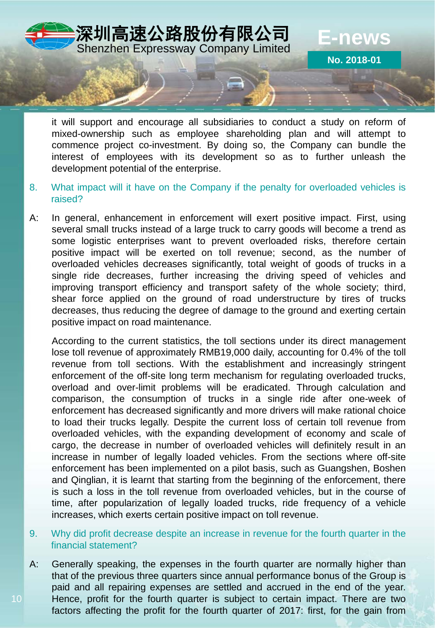

it will support and encourage all subsidiaries to conduct a study on reform of mixed-ownership such as employee shareholding plan and will attempt to commence project co-investment. By doing so, the Company can bundle the interest of employees with its development so as to further unleash the development potential of the enterprise.

- 8. What impact will it have on the Company if the penalty for overloaded vehicles is raised?
- A: In general, enhancement in enforcement will exert positive impact. First, using several small trucks instead of a large truck to carry goods will become a trend as some logistic enterprises want to prevent overloaded risks, therefore certain positive impact will be exerted on toll revenue; second, as the number of overloaded vehicles decreases significantly, total weight of goods of trucks in a single ride decreases, further increasing the driving speed of vehicles and improving transport efficiency and transport safety of the whole society; third, shear force applied on the ground of road understructure by tires of trucks decreases, thus reducing the degree of damage to the ground and exerting certain positive impact on road maintenance.

According to the current statistics, the toll sections under its direct management lose toll revenue of approximately RMB19,000 daily, accounting for 0.4% of the toll revenue from toll sections. With the establishment and increasingly stringent enforcement of the off-site long term mechanism for regulating overloaded trucks, overload and over-limit problems will be eradicated. Through calculation and comparison, the consumption of trucks in a single ride after one-week of enforcement has decreased significantly and more drivers will make rational choice to load their trucks legally. Despite the current loss of certain toll revenue from overloaded vehicles, with the expanding development of economy and scale of cargo, the decrease in number of overloaded vehicles will definitely result in an increase in number of legally loaded vehicles. From the sections where off-site enforcement has been implemented on a pilot basis, such as Guangshen, Boshen and Qinglian, it is learnt that starting from the beginning of the enforcement, there is such a loss in the toll revenue from overloaded vehicles, but in the course of time, after popularization of legally loaded trucks, ride frequency of a vehicle increases, which exerts certain positive impact on toll revenue.

- 9. Why did profit decrease despite an increase in revenue for the fourth quarter in the financial statement?
- A: Generally speaking, the expenses in the fourth quarter are normally higher than that of the previous three quarters since annual performance bonus of the Group is paid and all repairing expenses are settled and accrued in the end of the year. Hence, profit for the fourth quarter is subject to certain impact. There are two factors affecting the profit for the fourth quarter of 2017: first, for the gain from